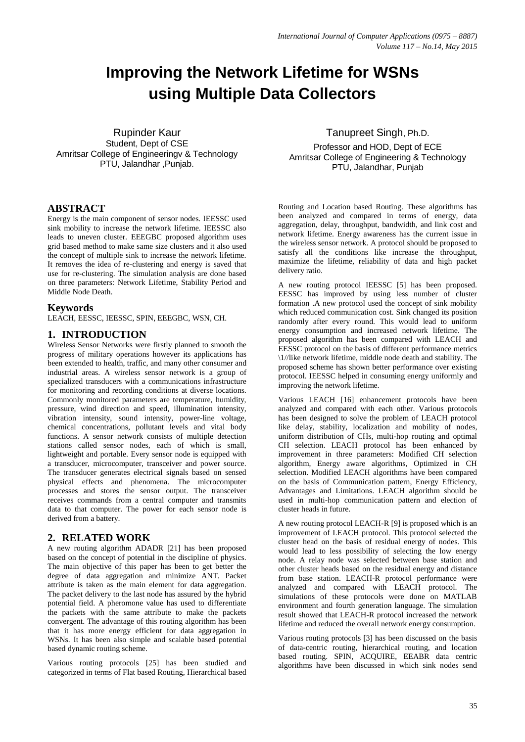# **Improving the Network Lifetime for WSNs using Multiple Data Collectors**

Rupinder Kaur Student, Dept of CSE Amritsar College of Engineeringv & Technology PTU, Jalandhar ,Punjab.

# **ABSTRACT**

Energy is the main component of sensor nodes. IEESSC used sink mobility to increase the network lifetime. IEESSC also leads to uneven cluster. EEEGBC proposed algorithm uses grid based method to make same size clusters and it also used the concept of multiple sink to increase the network lifetime. It removes the idea of re-clustering and energy is saved that use for re-clustering. The simulation analysis are done based on three parameters: Network Lifetime, Stability Period and Middle Node Death.

#### **Keywords**

LEACH, EESSC, IEESSC, SPIN, EEEGBC, WSN, CH.

#### **1. INTRODUCTION**

Wireless Sensor Networks were firstly planned to smooth the progress of military operations however its applications has been extended to health, traffic, and many other consumer and industrial areas. A wireless sensor network is a group of specialized transducers with a communications infrastructure for monitoring and recording conditions at diverse locations. Commonly monitored parameters are temperature, humidity, pressure, wind direction and speed, illumination intensity, vibration intensity, sound intensity, power-line voltage, chemical concentrations, pollutant levels and vital body functions. A sensor network consists of multiple detection stations called sensor nodes, each of which is small, lightweight and portable. Every sensor node is equipped with a transducer, microcomputer, transceiver and power source. The transducer generates electrical signals based on sensed physical effects and phenomena. The microcomputer processes and stores the sensor output. The transceiver receives commands from a central computer and transmits data to that computer. The power for each sensor node is derived from a battery.

## **2. RELATED WORK**

A new routing algorithm ADADR [21] has been proposed based on the concept of potential in the discipline of physics. The main objective of this paper has been to get better the degree of data aggregation and minimize ANT. Packet attribute is taken as the main element for data aggregation. The packet delivery to the last node has assured by the hybrid potential field. A pheromone value has used to differentiate the packets with the same attribute to make the packets convergent. The advantage of this routing algorithm has been that it has more energy efficient for data aggregation in WSNs. It has been also simple and scalable based potential based dynamic routing scheme.

Various routing protocols [25] has been studied and categorized in terms of Flat based Routing, Hierarchical based

#### Tanupreet Singh, Ph.D.

Professor and HOD, Dept of ECE Amritsar College of Engineering & Technology PTU, Jalandhar, Punjab

Routing and Location based Routing. These algorithms has been analyzed and compared in terms of energy, data aggregation, delay, throughput, bandwidth, and link cost and network lifetime. Energy awareness has the current issue in the wireless sensor network. A protocol should be proposed to satisfy all the conditions like increase the throughput, maximize the lifetime, reliability of data and high packet delivery ratio.

A new routing protocol IEESSC [5] has been proposed. EESSC has improved by using less number of cluster formation .A new protocol used the concept of sink mobility which reduced communication cost. Sink changed its position randomly after every round. This would lead to uniform energy consumption and increased network lifetime. The proposed algorithm has been compared with LEACH and EESSC protocol on the basis of different performance metrics \1//like network lifetime, middle node death and stability. The proposed scheme has shown better performance over existing protocol. IEESSC helped in consuming energy uniformly and improving the network lifetime.

Various LEACH [16] enhancement protocols have been analyzed and compared with each other. Various protocols has been designed to solve the problem of LEACH protocol like delay, stability, localization and mobility of nodes, uniform distribution of CHs, multi-hop routing and optimal CH selection. LEACH protocol has been enhanced by improvement in three parameters: Modified CH selection algorithm, Energy aware algorithms, Optimized in CH selection. Modified LEACH algorithms have been compared on the basis of Communication pattern, Energy Efficiency, Advantages and Limitations. LEACH algorithm should be used in multi-hop communication pattern and election of cluster heads in future.

A new routing protocol LEACH-R [9] is proposed which is an improvement of LEACH protocol. This protocol selected the cluster head on the basis of residual energy of nodes. This would lead to less possibility of selecting the low energy node. A relay node was selected between base station and other cluster heads based on the residual energy and distance from base station. LEACH-R protocol performance were analyzed and compared with LEACH protocol. The simulations of these protocols were done on MATLAB environment and fourth generation language. The simulation result showed that LEACH-R protocol increased the network lifetime and reduced the overall network energy consumption.

Various routing protocols [3] has been discussed on the basis of data-centric routing, hierarchical routing, and location based routing. SPIN, ACQUIRE, EEABR data centric algorithms have been discussed in which sink nodes send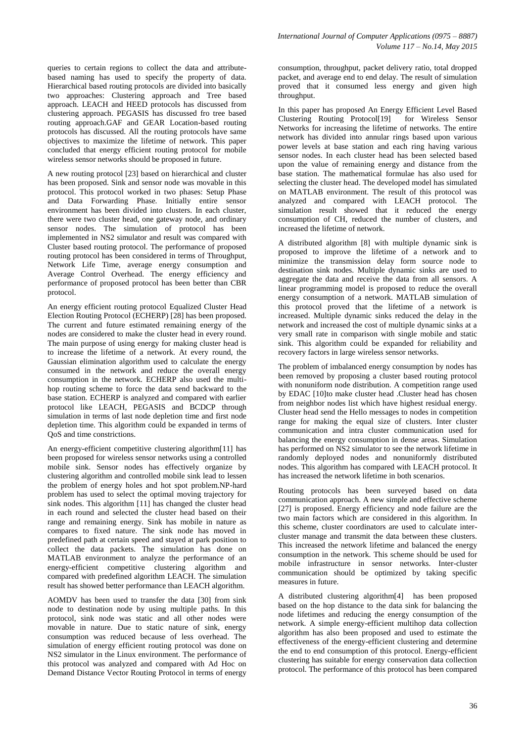queries to certain regions to collect the data and attributebased naming has used to specify the property of data. Hierarchical based routing protocols are divided into basically two approaches: Clustering approach and Tree based approach. LEACH and HEED protocols has discussed from clustering approach. PEGASIS has discussed fro tree based routing approach.GAF and GEAR Location-based routing protocols has discussed. All the routing protocols have same objectives to maximize the lifetime of network. This paper concluded that energy efficient routing protocol for mobile wireless sensor networks should be proposed in future.

A new routing protocol [23] based on hierarchical and cluster has been proposed. Sink and sensor node was movable in this protocol. This protocol worked in two phases: Setup Phase and Data Forwarding Phase. Initially entire sensor environment has been divided into clusters. In each cluster, there were two cluster head, one gateway node, and ordinary sensor nodes. The simulation of protocol has been implemented in NS2 simulator and result was compared with Cluster based routing protocol. The performance of proposed routing protocol has been considered in terms of Throughput, Network Life Time, average energy consumption and Average Control Overhead. The energy efficiency and performance of proposed protocol has been better than CBR protocol.

An energy efficient routing protocol Equalized Cluster Head Election Routing Protocol (ECHERP) [28] has been proposed. The current and future estimated remaining energy of the nodes are considered to make the cluster head in every round. The main purpose of using energy for making cluster head is to increase the lifetime of a network. At every round, the Gaussian elimination algorithm used to calculate the energy consumed in the network and reduce the overall energy consumption in the network. ECHERP also used the multihop routing scheme to force the data send backward to the base station. ECHERP is analyzed and compared with earlier protocol like LEACH, PEGASIS and BCDCP through simulation in terms of last node depletion time and first node depletion time. This algorithm could be expanded in terms of QoS and time constrictions.

An energy-efficient competitive clustering algorithm[11] has been proposed for wireless sensor networks using a controlled mobile sink. Sensor nodes has effectively organize by clustering algorithm and controlled mobile sink lead to lessen the problem of energy holes and hot spot problem.NP-hard problem has used to select the optimal moving trajectory for sink nodes. This algorithm [11] has changed the cluster head in each round and selected the cluster head based on their range and remaining energy. Sink has mobile in nature as compares to fixed nature. The sink node has moved in predefined path at certain speed and stayed at park position to collect the data packets. The simulation has done on MATLAB environment to analyze the performance of an energy-efficient competitive clustering algorithm and compared with predefined algorithm LEACH. The simulation result has showed better performance than LEACH algorithm.

AOMDV has been used to transfer the data [30] from sink node to destination node by using multiple paths. In this protocol, sink node was static and all other nodes were movable in nature. Due to static nature of sink, energy consumption was reduced because of less overhead. The simulation of energy efficient routing protocol was done on NS2 simulator in the Linux environment. The performance of this protocol was analyzed and compared with Ad Hoc on Demand Distance Vector Routing Protocol in terms of energy

consumption, throughput, packet delivery ratio, total dropped packet, and average end to end delay. The result of simulation proved that it consumed less energy and given high throughput.

In this paper has proposed An Energy Efficient Level Based Clustering Routing Protocol[19] for Wireless Sensor Networks for increasing the lifetime of networks. The entire network has divided into annular rings based upon various power levels at base station and each ring having various sensor nodes. In each cluster head has been selected based upon the value of remaining energy and distance from the base station. The mathematical formulae has also used for selecting the cluster head. The developed model has simulated on MATLAB environment. The result of this protocol was analyzed and compared with LEACH protocol. The simulation result showed that it reduced the energy consumption of CH, reduced the number of clusters, and increased the lifetime of network.

A distributed algorithm [8] with multiple dynamic sink is proposed to improve the lifetime of a network and to minimize the transmission delay form source node to destination sink nodes. Multiple dynamic sinks are used to aggregate the data and receive the data from all sensors. A linear programming model is proposed to reduce the overall energy consumption of a network. MATLAB simulation of this protocol proved that the lifetime of a network is increased. Multiple dynamic sinks reduced the delay in the network and increased the cost of multiple dynamic sinks at a very small rate in comparison with single mobile and static sink. This algorithm could be expanded for reliability and recovery factors in large wireless sensor networks.

The problem of imbalanced energy consumption by nodes has been removed by proposing a cluster based routing protocol with nonuniform node distribution. A competition range used by EDAC [10]to make cluster head .Cluster head has chosen from neighbor nodes list which have highest residual energy. Cluster head send the Hello messages to nodes in competition range for making the equal size of clusters. Inter cluster communication and intra cluster communication used for balancing the energy consumption in dense areas. Simulation has performed on NS2 simulator to see the network lifetime in randomly deployed nodes and nonuniformly distributed nodes. This algorithm has compared with LEACH protocol. It has increased the network lifetime in both scenarios.

Routing protocols has been surveyed based on data communication approach. A new simple and effective scheme [27] is proposed. Energy efficiency and node failure are the two main factors which are considered in this algorithm. In this scheme, cluster coordinators are used to calculate intercluster manage and transmit the data between these clusters. This increased the network lifetime and balanced the energy consumption in the network. This scheme should be used for mobile infrastructure in sensor networks. Inter-cluster communication should be optimized by taking specific measures in future.

A distributed clustering algorithm[4] has been proposed based on the hop distance to the data sink for balancing the node lifetimes and reducing the energy consumption of the network. A simple energy-efficient multihop data collection algorithm has also been proposed and used to estimate the effectiveness of the energy-efficient clustering and determine the end to end consumption of this protocol. Energy-efficient clustering has suitable for energy conservation data collection protocol. The performance of this protocol has been compared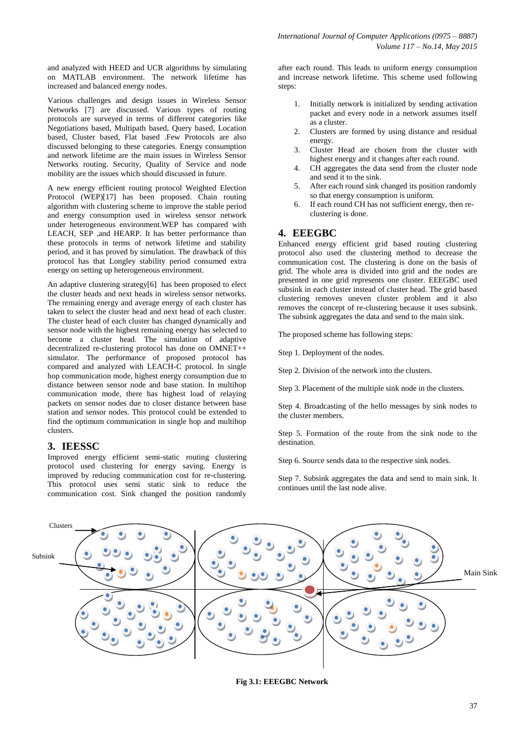and analyzed with HEED and UCR algorithms by simulating on MATLAB environment. The network lifetime has increased and balanced energy nodes.

Various challenges and design issues in Wireless Sensor Networks [7] are discussed. Various types of routing protocols are surveyed in terms of different categories like Negotiations based, Multipath based, Query based, Location based, Cluster based, Flat based .Few Protocols are also discussed belonging to these categories. Energy consumption and network lifetime are the main issues in Wireless Sensor Networks routing. Security, Quality of Service and node mobility are the issues which should discussed in future.

A new energy efficient routing protocol Weighted Election Protocol (WEP)[17] has been proposed. Chain routing algorithm with clustering scheme to improve the stable period and energy consumption used in wireless sensor network under heterogeneous environment.WEP has compared with LEACH, SEP ,and HEARP. It has better performance than these protocols in terms of network lifetime and stability period, and it has proved by simulation. The drawback of this protocol has that Longley stability period consumed extra energy on setting up heterogeneous environment.

An adaptive clustering strategy[6] has been proposed to elect the cluster heads and next heads in wireless sensor networks. The remaining energy and average energy of each cluster has taken to select the cluster head and next head of each cluster. The cluster head of each cluster has changed dynamically and sensor node with the highest remaining energy has selected to become a cluster head. The simulation of adaptive decentralized re-clustering protocol has done on OMNET++ simulator. The performance of proposed protocol has compared and analyzed with LEACH-C protocol. In single hop communication mode, highest energy consumption due to distance between sensor node and base station. In multihop communication mode, there has highest load of relaying packets on sensor nodes due to closer distance between base station and sensor nodes. This protocol could be extended to find the optimum communication in single hop and multihop clusters.

# **3. IEESSC**

Improved energy efficient semi-static routing clustering protocol used clustering for energy saving. Energy is improved by reducing communication cost for re-clustering. This protocol uses semi static sink to reduce the communication cost. Sink changed the position randomly

after each round. This leads to uniform energy consumption and increase network lifetime. This scheme used following steps:

- 1. Initially network is initialized by sending activation packet and every node in a network assumes itself as a cluster.
- 2. Clusters are formed by using distance and residual energy.
- 3. Cluster Head are chosen from the cluster with highest energy and it changes after each round.
- 4. CH aggregates the data send from the cluster node and send it to the sink.
- 5. After each round sink changed its position randomly so that energy consumption is uniform.
- 6. If each round CH has not sufficient energy, then reclustering is done.

# **4. EEEGBC**

Enhanced energy efficient grid based routing clustering protocol also used the clustering method to decrease the communication cost. The clustering is done on the basis of grid. The whole area is divided into grid and the nodes are presented in one grid represents one cluster. EEEGBC used subsink in each cluster instead of cluster head. The grid based clustering removes uneven cluster problem and it also removes the concept of re-clustering because it uses subsink. The subsink aggregates the data and send to the main sink.

The proposed scheme has following steps:

Step 1. Deployment of the nodes.

Step 2. Division of the network into the clusters.

Step 3. Placement of the multiple sink node in the clusters.

Step 4. Broadcasting of the hello messages by sink nodes to the cluster members.

Step 5. Formation of the route from the sink node to the destination.

Step 6. Source sends data to the respective sink nodes.

Step 7. Subsink aggregates the data and send to main sink. It continues until the last node alive.



**Fig 3.1: EEEGBC Network**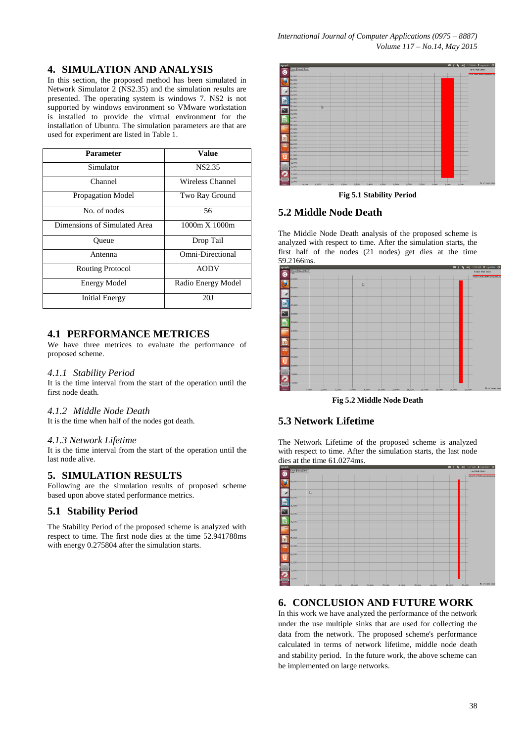# **4. SIMULATION AND ANALYSIS**

In this section, the proposed method has been simulated in Network Simulator  $\overline{2}$  (NS2.35) and the simulation results are presented. The operating system is windows 7. NS2 is not supported by windows environment so VMware workstation is installed to provide the virtual environment for the installation of Ubuntu. The simulation parameters are that are used for experiment are listed in Table 1.

| <b>Parameter</b>             | <b>Value</b>       |
|------------------------------|--------------------|
| Simulator                    | NS2.35             |
| Channel                      | Wireless Channel   |
| Propagation Model            | Two Ray Ground     |
| No. of nodes                 | 56                 |
| Dimensions of Simulated Area | 1000m X 1000m      |
| Oueue                        | Drop Tail          |
| Antenna                      | Omni-Directional   |
| <b>Routing Protocol</b>      | <b>AODV</b>        |
| <b>Energy Model</b>          | Radio Energy Model |
| <b>Initial Energy</b>        | 20J                |

# **4.1 PERFORMANCE METRICES**

We have three metrices to evaluate the performance of proposed scheme.

#### *4.1.1 Stability Period*

It is the time interval from the start of the operation until the first node death.

#### *4.1.2 Middle Node Death*

It is the time when half of the nodes got death.

#### *4.1.3 Network Lifetime*

It is the time interval from the start of the operation until the last node alive.

# **5. SIMULATION RESULTS**

Following are the simulation results of proposed scheme based upon above stated performance metrics.

# **5.1 Stability Period**

The Stability Period of the proposed scheme is analyzed with respect to time. The first node dies at the time 52.941788ms with energy 0.275804 after the simulation starts.



#### **Fig 5.1 Stability Period**

## **5.2 Middle Node Death**

The Middle Node Death analysis of the proposed scheme is analyzed with respect to time. After the simulation starts, the first half of the nodes (21 nodes) get dies at the time 59.2166ms.



**Fig 5.2 Middle Node Death**

# **5.3 Network Lifetime**

The Network Lifetime of the proposed scheme is analyzed with respect to time. After the simulation starts, the last node dies at the time 61.0274ms.



# **6. CONCLUSION AND FUTURE WORK**

In this work we have analyzed the performance of the network under the use multiple sinks that are used for collecting the data from the network. The proposed scheme's performance calculated in terms of network lifetime, middle node death and stability period. In the future work, the above scheme can be implemented on large networks.